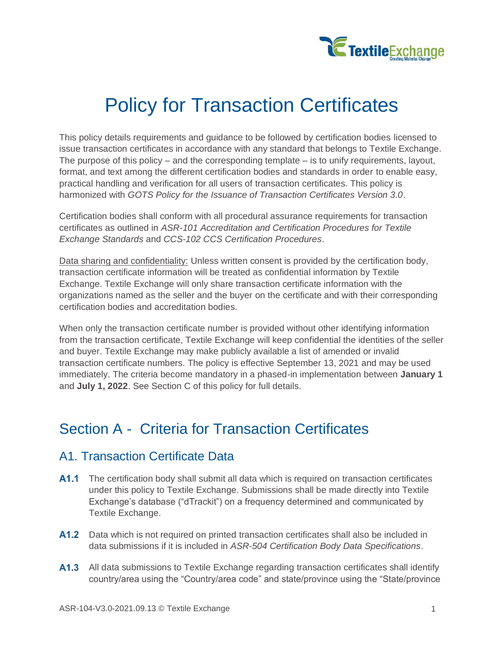

# Policy for Transaction Certificates

This policy details requirements and guidance to be followed by certification bodies licensed to issue transaction certificates in accordance with any standard that belongs to Textile Exchange. The purpose of this policy – and the corresponding template – is to unify requirements, layout, format, and text among the different certification bodies and standards in order to enable easy, practical handling and verification for all users of transaction certificates. This policy is harmonized with *GOTS Policy for the Issuance of Transaction Certificates Version 3.0*.

Certification bodies shall conform with all procedural assurance requirements for transaction certificates as outlined in *ASR-101 Accreditation and Certification Procedures for Textile Exchange Standards* and *CCS-102 CCS Certification Procedures*.

Data sharing and confidentiality: Unless written consent is provided by the certification body, transaction certificate information will be treated as confidential information by Textile Exchange. Textile Exchange will only share transaction certificate information with the organizations named as the seller and the buyer on the certificate and with their corresponding certification bodies and accreditation bodies.

When only the transaction certificate number is provided without other identifying information from the transaction certificate, Textile Exchange will keep confidential the identities of the seller and buyer. Textile Exchange may make publicly available a list of amended or invalid transaction certificate numbers. The policy is effective September 13, 2021 and may be used immediately. The criteria become mandatory in a phased-in implementation between **January 1** and **July 1, 2022**. See Section C of this policy for full details.

## Section A - Criteria for Transaction Certificates

## A1. Transaction Certificate Data

- **A1.1** The certification body shall submit all data which is required on transaction certificates under this policy to Textile Exchange. Submissions shall be made directly into Textile Exchange's database ("dTrackit") on a frequency determined and communicated by Textile Exchange.
- A1.2 Data which is not required on printed transaction certificates shall also be included in data submissions if it is included in *ASR-504 Certification Body Data Specifications*.
- A1.3 All data submissions to Textile Exchange regarding transaction certificates shall identify country/area using the "Country/area code" and state/province using the "State/province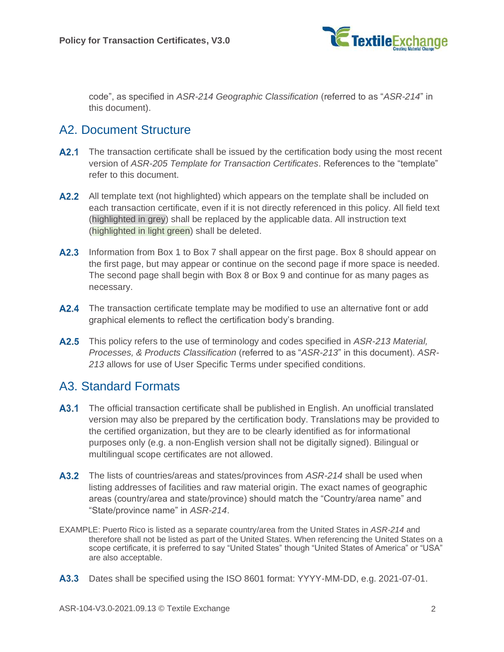

code", as specified in *ASR-214 Geographic Classification* (referred to as "*ASR-214*" in this document).

## A2. Document Structure

- **A2.1** The transaction certificate shall be issued by the certification body using the most recent version of *ASR-205 Template for Transaction Certificates*. References to the "template" refer to this document.
- **A2.2** All template text (not highlighted) which appears on the template shall be included on each transaction certificate, even if it is not directly referenced in this policy. All field text (highlighted in grey) shall be replaced by the applicable data. All instruction text (highlighted in light green) shall be deleted.
- A2.3 Information from Box 1 to Box 7 shall appear on the first page. Box 8 should appear on the first page, but may appear or continue on the second page if more space is needed. The second page shall begin with Box 8 or Box 9 and continue for as many pages as necessary.
- A2.4 The transaction certificate template may be modified to use an alternative font or add graphical elements to reflect the certification body's branding.
- <span id="page-1-0"></span>This policy refers to the use of terminology and codes specified in *ASR-213 Material, Processes, & Products Classification* (referred to as "*ASR-213*" in this document). *ASR-213* allows for use of User Specific Terms under specified conditions.

## A3. Standard Formats

- A3.1 The official transaction certificate shall be published in English. An unofficial translated version may also be prepared by the certification body. Translations may be provided to the certified organization, but they are to be clearly identified as for informational purposes only (e.g. a non-English version shall not be digitally signed). Bilingual or multilingual scope certificates are not allowed.
- <span id="page-1-1"></span>The lists of countries/areas and states/provinces from *ASR-214* shall be used when listing addresses of facilities and raw material origin. The exact names of geographic areas (country/area and state/province) should match the "Country/area name" and "State/province name" in *ASR-214*.
- EXAMPLE: Puerto Rico is listed as a separate country/area from the United States in *ASR-214* and therefore shall not be listed as part of the United States. When referencing the United States on a scope certificate, it is preferred to say "United States" though "United States of America" or "USA" are also acceptable.
- <span id="page-1-2"></span>A3.3 Dates shall be specified using the ISO 8601 format: YYYY-MM-DD, e.g. 2021-07-01.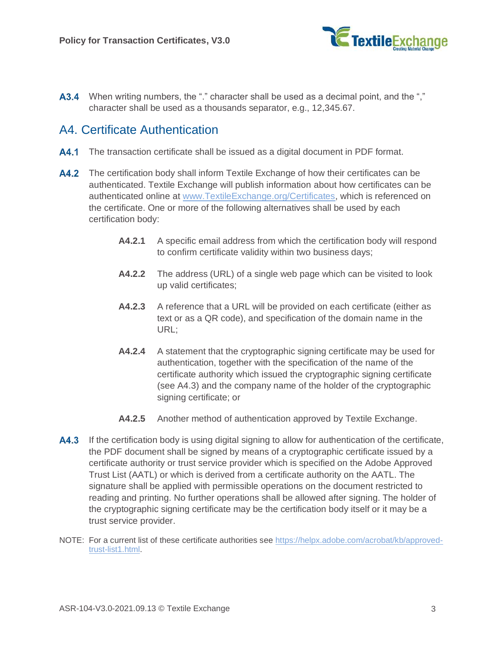

<span id="page-2-2"></span>A3.4 When writing numbers, the "." character shall be used as a decimal point, and the "," character shall be used as a thousands separator, e.g., 12,345.67.

## <span id="page-2-1"></span>A4. Certificate Authentication

- A4.1 The transaction certificate shall be issued as a digital document in PDF format.
- **A4.2** The certification body shall inform Textile Exchange of how their certificates can be authenticated. Textile Exchange will publish information about how certificates can be authenticated online at [www.TextileExchange.org/Certificates,](http://www.textileexchange.org/Certificates) which is referenced on the certificate. One or more of the following alternatives shall be used by each certification body:
	- **A4.2.1** A specific email address from which the certification body will respond to confirm certificate validity within two business days;
	- **A4.2.2** The address (URL) of a single web page which can be visited to look up valid certificates;
	- **A4.2.3** A reference that a URL will be provided on each certificate (either as text or as a QR code), and specification of the domain name in the URL;
	- **A4.2.4** A statement that the cryptographic signing certificate may be used for authentication, together with the specification of the name of the certificate authority which issued the cryptographic signing certificate (see [A4.3\)](#page-2-0) and the company name of the holder of the cryptographic signing certificate; or
	- **A4.2.5** Another method of authentication approved by Textile Exchange.
- <span id="page-2-0"></span>**A4.3** If the certification body is using digital signing to allow for authentication of the certificate, the PDF document shall be signed by means of a cryptographic certificate issued by a certificate authority or trust service provider which is specified on the Adobe Approved Trust List (AATL) or which is derived from a certificate authority on the AATL. The signature shall be applied with permissible operations on the document restricted to reading and printing. No further operations shall be allowed after signing. The holder of the cryptographic signing certificate may be the certification body itself or it may be a trust service provider.
- NOTE: For a current list of these certificate authorities see [https://helpx.adobe.com/acrobat/kb/approved](https://helpx.adobe.com/acrobat/kb/approved-trust-list1.html)[trust-list1.html.](https://helpx.adobe.com/acrobat/kb/approved-trust-list1.html)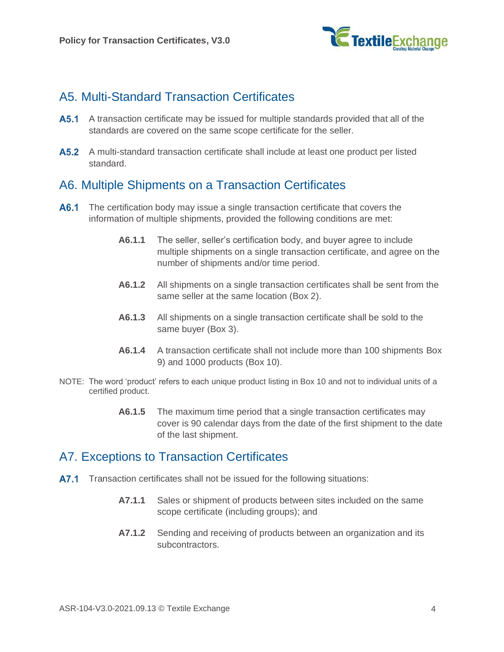

## A5. Multi-Standard Transaction Certificates

- **A5.1** A transaction certificate may be issued for multiple standards provided that all of the standards are covered on the same scope certificate for the seller.
- A5.2 A multi-standard transaction certificate shall include at least one product per listed standard.

## A6. Multiple Shipments on a Transaction Certificates

- A6.1 The certification body may issue a single transaction certificate that covers the information of multiple shipments, provided the following conditions are met:
	- **A6.1.1** The seller, seller's certification body, and buyer agree to include multiple shipments on a single transaction certificate, and agree on the number of shipments and/or time period.
	- **A6.1.2** All shipments on a single transaction certificates shall be sent from the same seller at the same location (Box 2).
	- **A6.1.3** All shipments on a single transaction certificate shall be sold to the same buyer (Box 3).
	- **A6.1.4** A transaction certificate shall not include more than 100 shipments Box 9) and 1000 products (Box 10).
- NOTE: The word 'product' refers to each unique product listing in Box 10 and not to individual units of a certified product.
	- **A6.1.5** The maximum time period that a single transaction certificates may cover is 90 calendar days from the date of the first shipment to the date of the last shipment.

## A7. Exceptions to Transaction Certificates

- A7.1 Transaction certificates shall not be issued for the following situations:
	- **A7.1.1** Sales or shipment of products between sites included on the same scope certificate (including groups); and
	- **A7.1.2** Sending and receiving of products between an organization and its subcontractors.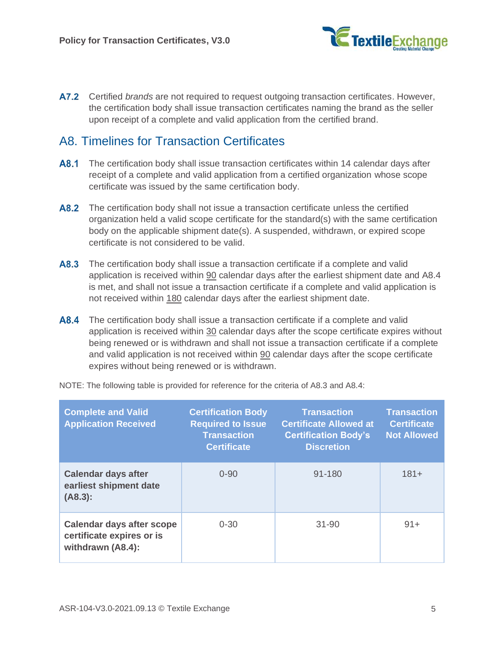

A7.2 Certified *brands* are not required to request outgoing transaction certificates. However, the certification body shall issue transaction certificates naming the brand as the seller upon receipt of a complete and valid application from the certified brand.

## A8. Timelines for Transaction Certificates

- A8.1 The certification body shall issue transaction certificates within 14 calendar days after receipt of a complete and valid application from a certified organization whose scope certificate was issued by the same certification body.
- A8.2 The certification body shall not issue a transaction certificate unless the certified organization held a valid scope certificate for the standard(s) with the same certification body on the applicable shipment date(s). A suspended, withdrawn, or expired scope certificate is not considered to be valid.
- <span id="page-4-1"></span>A8.3 The certification body shall issue a transaction certificate if a complete and valid application is received within 90 calendar days after the earliest shipment date and [A8.4](#page-4-0) is met, and shall not issue a transaction certificate if a complete and valid application is not received within 180 calendar days after the earliest shipment date.
- <span id="page-4-0"></span>A8.4 The certification body shall issue a transaction certificate if a complete and valid application is received within 30 calendar days after the scope certificate expires without being renewed or is withdrawn and shall not issue a transaction certificate if a complete and valid application is not received within 90 calendar days after the scope certificate expires without being renewed or is withdrawn.

| <b>Complete and Valid</b><br><b>Application Received</b>                           | <b>Certification Body</b><br><b>Required to Issue</b><br><b>Transaction</b><br><b>Certificate</b> | <b>Transaction</b><br><b>Certificate Allowed at</b><br><b>Certification Body's</b><br><b>Discretion</b> | <b>Transaction</b><br><b>Certificate</b><br><b>Not Allowed</b> |
|------------------------------------------------------------------------------------|---------------------------------------------------------------------------------------------------|---------------------------------------------------------------------------------------------------------|----------------------------------------------------------------|
| <b>Calendar days after</b><br>earliest shipment date<br>(A8.3):                    | $0 - 90$                                                                                          | $91 - 180$                                                                                              | $181+$                                                         |
| <b>Calendar days after scope</b><br>certificate expires or is<br>withdrawn (A8.4): | $0 - 30$                                                                                          | $31 - 90$                                                                                               | $91+$                                                          |

NOTE: The following table is provided for reference for the criteria of [A8.3](#page-4-1) and [A8.4:](#page-4-0)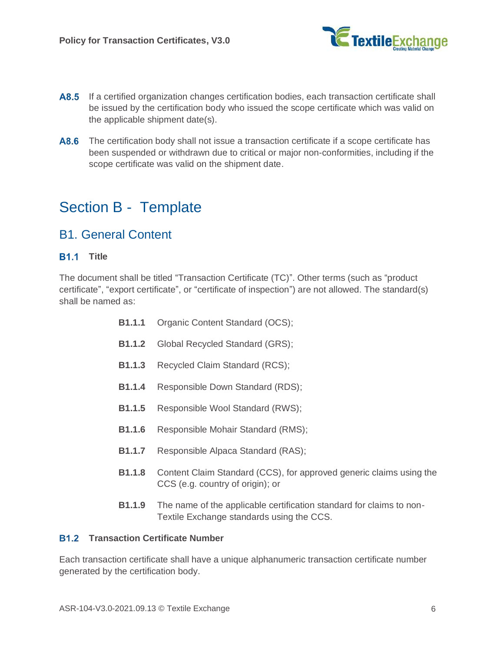

- A8.5 If a certified organization changes certification bodies, each transaction certificate shall be issued by the certification body who issued the scope certificate which was valid on the applicable shipment date(s).
- A8.6 The certification body shall not issue a transaction certificate if a scope certificate has been suspended or withdrawn due to critical or major non-conformities, including if the scope certificate was valid on the shipment date.

## Section B - Template

## B1. General Content

#### **B1.1** Title

The document shall be titled "Transaction Certificate (TC)". Other terms (such as "product certificate", "export certificate", or "certificate of inspection") are not allowed. The standard(s) shall be named as:

- **B1.1.1** Organic Content Standard (OCS);
- **B1.1.2** Global Recycled Standard (GRS);
- **B1.1.3** Recycled Claim Standard (RCS);
- **B1.1.4** Responsible Down Standard (RDS);
- **B1.1.5** Responsible Wool Standard (RWS);
- **B1.1.6** Responsible Mohair Standard (RMS);
- **B1.1.7** Responsible Alpaca Standard (RAS);
- **B1.1.8** Content Claim Standard (CCS), for approved generic claims using the CCS (e.g. country of origin); or
- **B1.1.9** The name of the applicable certification standard for claims to non-Textile Exchange standards using the CCS.

#### <span id="page-5-0"></span>**B1.2 Transaction Certificate Number**

Each transaction certificate shall have a unique alphanumeric transaction certificate number generated by the certification body.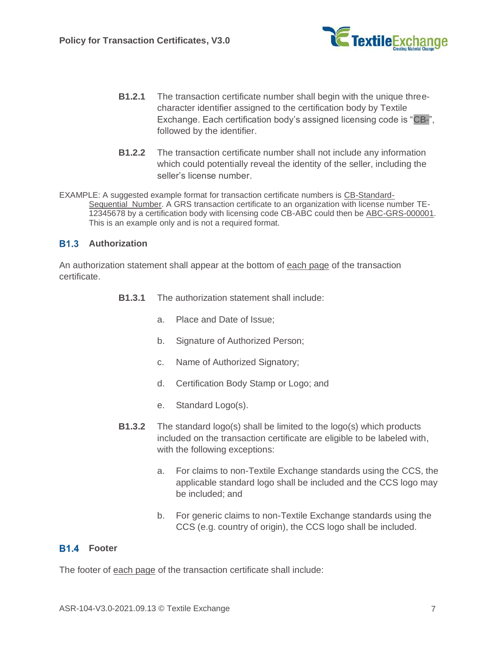

- **B1.2.1** The transaction certificate number shall begin with the unique threecharacter identifier assigned to the certification body by Textile Exchange. Each certification body's assigned licensing code is "CB-", followed by the identifier.
- **B1.2.2** The transaction certificate number shall not include any information which could potentially reveal the identity of the seller, including the seller's license number.

<span id="page-6-0"></span>EXAMPLE: A suggested example format for transaction certificate numbers is CB-Standard-Sequential Number. A GRS transaction certificate to an organization with license number TE-12345678 by a certification body with licensing code CB-ABC could then be ABC-GRS-000001. This is an example only and is not a required format.

#### **B1.3** Authorization

An authorization statement shall appear at the bottom of each page of the transaction certificate.

- **B1.3.1** The authorization statement shall include:
	- a. Place and Date of Issue;
	- b. Signature of Authorized Person;
	- c. Name of Authorized Signatory;
	- d. Certification Body Stamp or Logo; and
	- e. Standard Logo(s).
- **B1.3.2** The standard logo(s) shall be limited to the logo(s) which products included on the transaction certificate are eligible to be labeled with, with the following exceptions:
	- a. For claims to non-Textile Exchange standards using the CCS, the applicable standard logo shall be included and the CCS logo may be included; and
	- b. For generic claims to non-Textile Exchange standards using the CCS (e.g. country of origin), the CCS logo shall be included.

#### **B1.4 Footer**

The footer of each page of the transaction certificate shall include: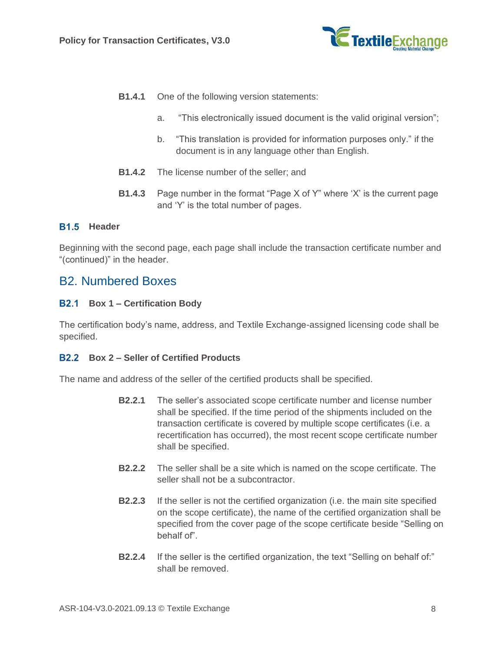

- **B1.4.1** One of the following version statements:
	- a. "This electronically issued document is the valid original version";
	- b. "This translation is provided for information purposes only." if the document is in any language other than English.
- **B1.4.2** The license number of the seller; and
- **B1.4.3** Page number in the format "Page X of Y" where 'X' is the current page and 'Y' is the total number of pages.

#### **B1.5 Header**

Beginning with the second page, each page shall include the transaction certificate number and "(continued)" in the header.

### B2. Numbered Boxes

#### **Box 1 – Certification Body**

The certification body's name, address, and Textile Exchange-assigned licensing code shall be specified.

#### **Box 2 – Seller of Certified Products**

The name and address of the seller of the certified products shall be specified.

- **B2.2.1** The seller's associated scope certificate number and license number shall be specified. If the time period of the shipments included on the transaction certificate is covered by multiple scope certificates (i.e. a recertification has occurred), the most recent scope certificate number shall be specified.
- **B2.2.2** The seller shall be a site which is named on the scope certificate. The seller shall not be a subcontractor.
- **B2.2.3** If the seller is not the certified organization (i.e. the main site specified on the scope certificate), the name of the certified organization shall be specified from the cover page of the scope certificate beside "Selling on behalf of".
- **B2.2.4** If the seller is the certified organization, the text "Selling on behalf of:" shall be removed.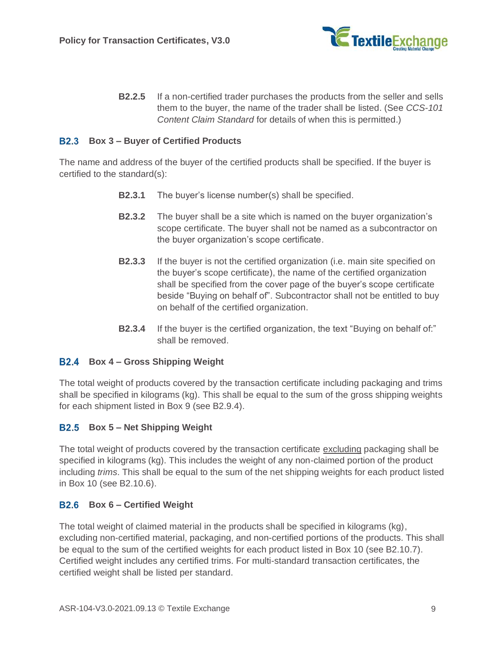

**B2.2.5** If a non-certified trader purchases the products from the seller and sells them to the buyer, the name of the trader shall be listed. (See *CCS-101 Content Claim Standard* for details of when this is permitted.)

#### <span id="page-8-3"></span>**Box 3 – Buyer of Certified Products**

The name and address of the buyer of the certified products shall be specified. If the buyer is certified to the standard(s):

- **B2.3.1** The buyer's license number(s) shall be specified.
- **B2.3.2** The buyer shall be a site which is named on the buyer organization's scope certificate. The buyer shall not be named as a subcontractor on the buyer organization's scope certificate.
- **B2.3.3** If the buyer is not the certified organization (i.e. main site specified on the buyer's scope certificate), the name of the certified organization shall be specified from the cover page of the buyer's scope certificate beside "Buying on behalf of". Subcontractor shall not be entitled to buy on behalf of the certified organization.
- **B2.3.4** If the buyer is the certified organization, the text "Buying on behalf of:" shall be removed.

#### <span id="page-8-0"></span>**Box 4 – Gross Shipping Weight**

The total weight of products covered by the transaction certificate including packaging and trims shall be specified in kilograms (kg). This shall be equal to the sum of the gross shipping weights for each shipment listed in Box 9 (see [B2.9.4\)](#page-11-0).

#### <span id="page-8-1"></span>**Box 5 – Net Shipping Weight**

The total weight of products covered by the transaction certificate excluding packaging shall be specified in kilograms (kg). This includes the weight of any non-claimed portion of the product including *trims*. This shall be equal to the sum of the net shipping weights for each product listed in Box 10 (see [B2.10.6\)](#page-12-0).

#### <span id="page-8-2"></span>**Box 6 – Certified Weight**

The total weight of claimed material in the products shall be specified in kilograms (kg), excluding non-certified material, packaging, and non-certified portions of the products. This shall be equal to the sum of the certified weights for each product listed in Box 10 (see [B2.10.7\)](#page-12-1). Certified weight includes any certified trims. For multi-standard transaction certificates, the certified weight shall be listed per standard.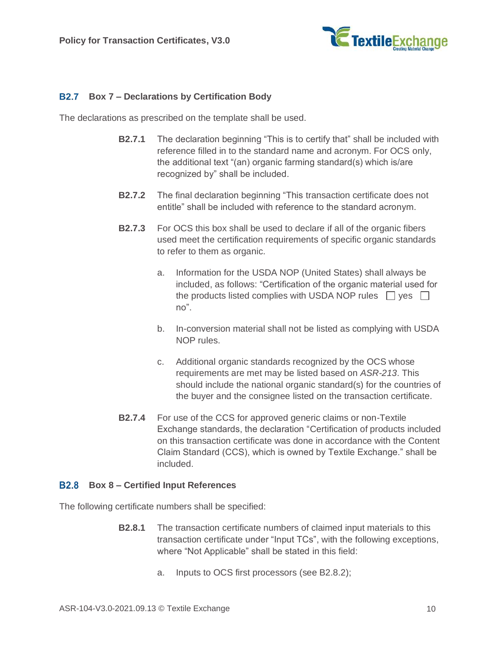

#### **Box 7 – Declarations by Certification Body**

The declarations as prescribed on the template shall be used.

- **B2.7.1** The declaration beginning "This is to certify that" shall be included with reference filled in to the standard name and acronym. For OCS only, the additional text "(an) organic farming standard(s) which is/are recognized by" shall be included.
- **B2.7.2** The final declaration beginning "This transaction certificate does not entitle" shall be included with reference to the standard acronym.
- <span id="page-9-0"></span>**B2.7.3** For OCS this box shall be used to declare if all of the organic fibers used meet the certification requirements of specific organic standards to refer to them as organic.
	- a. Information for the USDA NOP (United States) shall always be included, as follows: "Certification of the organic material used for the products listed complies with USDA NOP rules  $\Box$  yes  $\Box$ no".
	- b. In-conversion material shall not be listed as complying with USDA NOP rules.
	- c. Additional organic standards recognized by the OCS whose requirements are met may be listed based on *ASR-213*. This should include the national organic standard(s) for the countries of the buyer and the consignee listed on the transaction certificate.
- **B2.7.4** For use of the CCS for approved generic claims or non-Textile Exchange standards, the declaration "Certification of products included on this transaction certificate was done in accordance with the Content Claim Standard (CCS), which is owned by Textile Exchange." shall be included.

#### **Box 8 – Certified Input References**

The following certificate numbers shall be specified:

- **B2.8.1** The transaction certificate numbers of claimed input materials to this transaction certificate under "Input TCs", with the following exceptions, where "Not Applicable" shall be stated in this field:
	- a. Inputs to OCS first processors (see [B2.8.2\)](#page-10-0);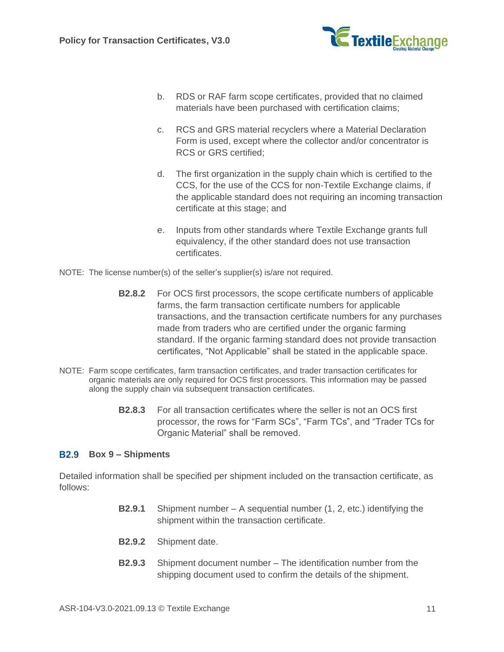

- b. RDS or RAF farm scope certificates, provided that no claimed materials have been purchased with certification claims;
- c. RCS and GRS material recyclers where a Material Declaration Form is used, except where the collector and/or concentrator is RCS or GRS certified;
- d. The first organization in the supply chain which is certified to the CCS, for the use of the CCS for non-Textile Exchange claims, if the applicable standard does not requiring an incoming transaction certificate at this stage; and
- e. Inputs from other standards where Textile Exchange grants full equivalency, if the other standard does not use transaction certificates.
- <span id="page-10-0"></span>NOTE: The license number(s) of the seller's supplier(s) is/are not required.
	- **B2.8.2** For OCS first processors, the scope certificate numbers of applicable farms, the farm transaction certificate numbers for applicable transactions, and the transaction certificate numbers for any purchases made from traders who are certified under the organic farming standard. If the organic farming standard does not provide transaction certificates, "Not Applicable" shall be stated in the applicable space.
- NOTE: Farm scope certificates, farm transaction certificates, and trader transaction certificates for organic materials are only required for OCS first processors. This information may be passed along the supply chain via subsequent transaction certificates.
	- **B2.8.3** For all transaction certificates where the seller is not an OCS first processor, the rows for "Farm SCs", "Farm TCs", and "Trader TCs for Organic Material" shall be removed.

#### <span id="page-10-2"></span>**Box 9 – Shipments**

<span id="page-10-1"></span>Detailed information shall be specified per shipment included on the transaction certificate, as follows:

- **B2.9.1** Shipment number A sequential number (1, 2, etc.) identifying the shipment within the transaction certificate.
- **B2.9.2** Shipment date.
- **B2.9.3** Shipment document number The identification number from the shipping document used to confirm the details of the shipment.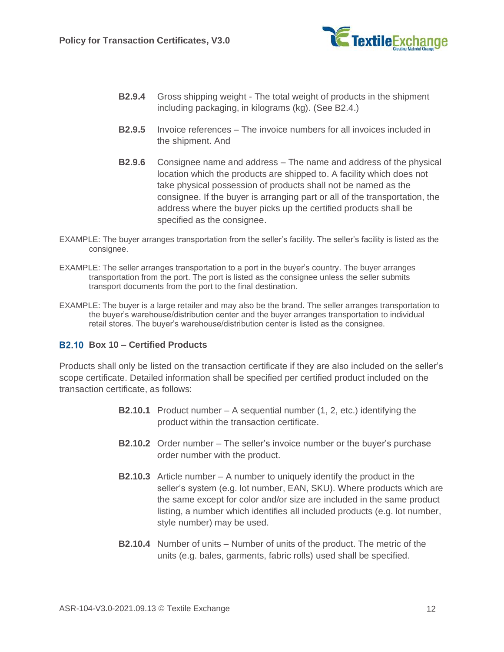

- <span id="page-11-0"></span>**B2.9.4** Gross shipping weight - The total weight of products in the shipment including packaging, in kilograms (kg). (See [B2.4.](#page-8-0))
- **B2.9.5** Invoice references The invoice numbers for all invoices included in the shipment. And
- **B2.9.6** Consignee name and address The name and address of the physical location which the products are shipped to. A facility which does not take physical possession of products shall not be named as the consignee. If the buyer is arranging part or all of the transportation, the address where the buyer picks up the certified products shall be specified as the consignee.
- EXAMPLE: The buyer arranges transportation from the seller's facility. The seller's facility is listed as the consignee.
- EXAMPLE: The seller arranges transportation to a port in the buyer's country. The buyer arranges transportation from the port. The port is listed as the consignee unless the seller submits transport documents from the port to the final destination.
- EXAMPLE: The buyer is a large retailer and may also be the brand. The seller arranges transportation to the buyer's warehouse/distribution center and the buyer arranges transportation to individual retail stores. The buyer's warehouse/distribution center is listed as the consignee.

#### <span id="page-11-2"></span>**Box 10 – Certified Products**

<span id="page-11-1"></span>Products shall only be listed on the transaction certificate if they are also included on the seller's scope certificate. Detailed information shall be specified per certified product included on the transaction certificate, as follows:

- **B2.10.1** Product number A sequential number (1, 2, etc.) identifying the product within the transaction certificate.
- **B2.10.2** Order number The seller's invoice number or the buyer's purchase order number with the product.
- **B2.10.3** Article number A number to uniquely identify the product in the seller's system (e.g. lot number, EAN, SKU). Where products which are the same except for color and/or size are included in the same product listing, a number which identifies all included products (e.g. lot number, style number) may be used.
- **B2.10.4** Number of units Number of units of the product. The metric of the units (e.g. bales, garments, fabric rolls) used shall be specified.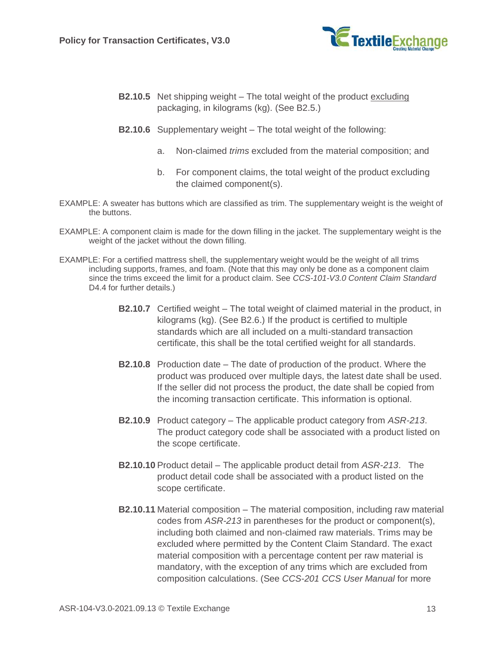

- **B2.10.5** Net shipping weight The total weight of the product excluding packaging, in kilograms (kg). (See [B2.5.](#page-8-1))
- <span id="page-12-0"></span>**B2.10.6** Supplementary weight – The total weight of the following:
	- a. Non-claimed *trims* excluded from the material composition; and
	- b. For component claims, the total weight of the product excluding the claimed component(s).
- EXAMPLE: A sweater has buttons which are classified as trim. The supplementary weight is the weight of the buttons.
- EXAMPLE: A component claim is made for the down filling in the jacket. The supplementary weight is the weight of the jacket without the down filling.
- <span id="page-12-2"></span><span id="page-12-1"></span>EXAMPLE: For a certified mattress shell, the supplementary weight would be the weight of all trims including supports, frames, and foam. (Note that this may only be done as a component claim since the trims exceed the limit for a product claim. See *CCS-101-V3.0 Content Claim Standard* D<sub>4</sub>.4 for further details.)
	- **B2.10.7** Certified weight The total weight of claimed material in the product, in kilograms (kg). (See [B2.6.](#page-8-2)) If the product is certified to multiple standards which are all included on a multi-standard transaction certificate, this shall be the total certified weight for all standards.
	- **B2.10.8** Production date The date of production of the product. Where the product was produced over multiple days, the latest date shall be used. If the seller did not process the product, the date shall be copied from the incoming transaction certificate. This information is optional.
	- **B2.10.9** Product category The applicable product category from *ASR-213*. The product category code shall be associated with a product listed on the scope certificate.
	- **B2.10.10** Product detail The applicable product detail from *ASR-213*. The product detail code shall be associated with a product listed on the scope certificate.
	- **B2.10.11** Material composition The material composition, including raw material codes from *ASR-213* in parentheses for the product or component(s), including both claimed and non-claimed raw materials. Trims may be excluded where permitted by the Content Claim Standard. The exact material composition with a percentage content per raw material is mandatory, with the exception of any trims which are excluded from composition calculations. (See *CCS-201 CCS User Manual* for more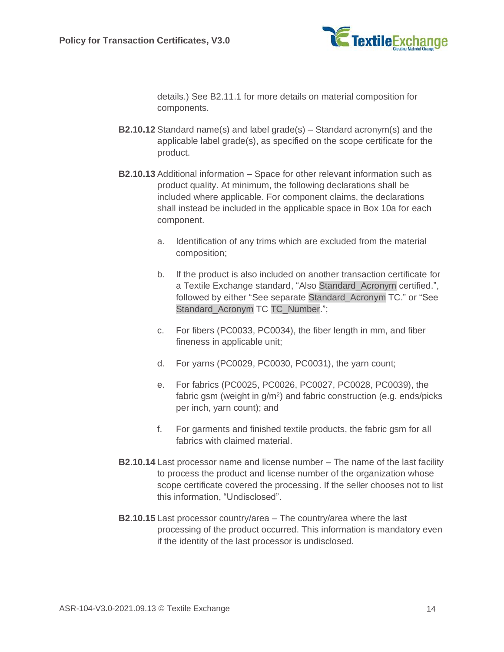

details.) See [B2.11.1](#page-14-0) for more details on material composition for components.

- **B2.10.12** Standard name(s) and label grade(s) Standard acronym(s) and the applicable label grade(s), as specified on the scope certificate for the product.
- <span id="page-13-0"></span>**B2.10.13** Additional information – Space for other relevant information such as product quality. At minimum, the following declarations shall be included where applicable. For component claims, the declarations shall instead be included in the applicable space in Box 10a for each component.
	- a. Identification of any trims which are excluded from the material composition;
	- b. If the product is also included on another transaction certificate for a Textile Exchange standard, "Also Standard\_Acronym certified.", followed by either "See separate Standard\_Acronym TC." or "See Standard\_Acronym TC TC\_Number.";
	- c. For fibers (PC0033, PC0034), the fiber length in mm, and fiber fineness in applicable unit;
	- d. For yarns (PC0029, PC0030, PC0031), the yarn count;
	- e. For fabrics (PC0025, PC0026, PC0027, PC0028, PC0039), the fabric gsm (weight in  $g/m^2$ ) and fabric construction (e.g. ends/picks per inch, yarn count); and
	- f. For garments and finished textile products, the fabric gsm for all fabrics with claimed material.
- **B2.10.14** Last processor name and license number The name of the last facility to process the product and license number of the organization whose scope certificate covered the processing. If the seller chooses not to list this information, "Undisclosed".
- **B2.10.15** Last processor country/area The country/area where the last processing of the product occurred. This information is mandatory even if the identity of the last processor is undisclosed.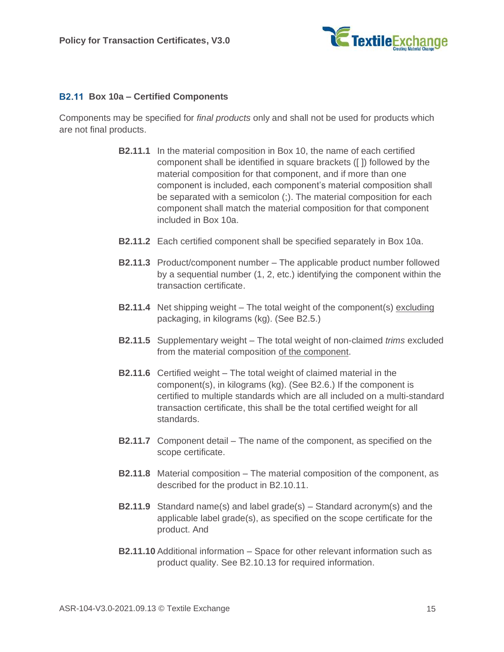

#### <span id="page-14-2"></span>**Box 10a – Certified Components**

<span id="page-14-0"></span>Components may be specified for *final products* only and shall not be used for products which are not final products.

- **B2.11.1** In the material composition in Box 10, the name of each certified component shall be identified in square brackets ([ ]) followed by the material composition for that component, and if more than one component is included, each component's material composition shall be separated with a semicolon (;). The material composition for each component shall match the material composition for that component included in Box 10a.
- **B2.11.2** Each certified component shall be specified separately in Box 10a.
- <span id="page-14-1"></span>**B2.11.3** Product/component number – The applicable product number followed by a sequential number (1, 2, etc.) identifying the component within the transaction certificate.
- **B2.11.4** Net shipping weight The total weight of the component(s) excluding packaging, in kilograms (kg). (See [B2.5.](#page-8-1))
- **B2.11.5** Supplementary weight The total weight of non-claimed *trims* excluded from the material composition of the component.
- **B2.11.6** Certified weight The total weight of claimed material in the component(s), in kilograms (kg). (See [B2.6.](#page-8-2)) If the component is certified to multiple standards which are all included on a multi-standard transaction certificate, this shall be the total certified weight for all standards.
- **B2.11.7** Component detail The name of the component, as specified on the scope certificate.
- **B2.11.8** Material composition The material composition of the component, as described for the product in [B2.10.11.](#page-12-2)
- **B2.11.9** Standard name(s) and label grade(s) Standard acronym(s) and the applicable label grade(s), as specified on the scope certificate for the product. And
- **B2.11.10** Additional information Space for other relevant information such as product quality. See [B2.10.13](#page-13-0) for required information.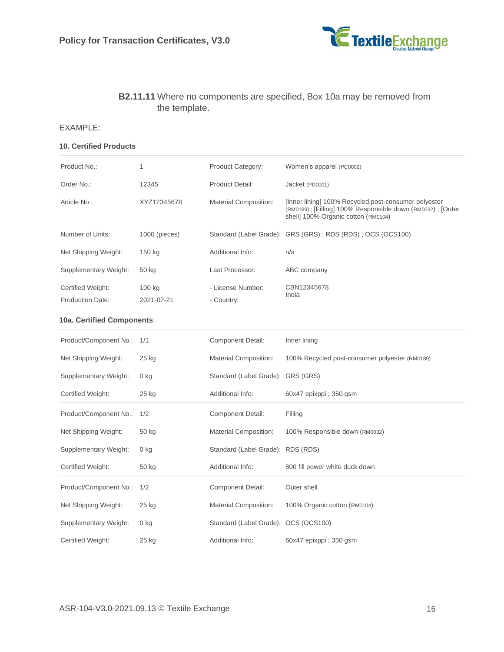

#### **B2.11.11** Where no components are specified, Box 10a may be removed from the template.

#### EXAMPLE:

#### **10. Certified Products**

| Product No.:                                 | 1                    | <b>Product Category:</b>             | Women's apparel (PC0002)                                                                                                                                  |  |
|----------------------------------------------|----------------------|--------------------------------------|-----------------------------------------------------------------------------------------------------------------------------------------------------------|--|
| Order No.:                                   | 12345                | Product Detail:                      | Jacket (PD0001)                                                                                                                                           |  |
| Article No.:                                 | XYZ12345678          | <b>Material Composition:</b>         | [Inner lining] 100% Recycled post-consumer polyester<br>(RM0189); [Filling] 100% Responsible down (RM0032); [Outer<br>shell] 100% Organic cotton (RM0104) |  |
| Number of Units:                             | $1000$ (pieces)      |                                      | Standard (Label Grade): GRS (GRS); RDS (RDS); OCS (OCS100)                                                                                                |  |
| Net Shipping Weight:                         | 150 kg               | Additional Info:                     | n/a                                                                                                                                                       |  |
| Supplementary Weight:                        | 50 kg                | Last Processor:                      | ABC company                                                                                                                                               |  |
| Certified Weight:<br><b>Production Date:</b> | 100 kg<br>2021-07-21 | - License Number:<br>- Country:      | CBN12345678<br>India                                                                                                                                      |  |
| <b>10a. Certified Components</b>             |                      |                                      |                                                                                                                                                           |  |
| Product/Component No.: 1/1                   |                      | <b>Component Detail:</b>             | Inner lining                                                                                                                                              |  |
| Net Shipping Weight:                         | 25 kg                | <b>Material Composition:</b>         | 100% Recycled post-consumer polyester (RM0189)                                                                                                            |  |
| Supplementary Weight:                        | $0$ kg               | Standard (Label Grade): GRS (GRS)    |                                                                                                                                                           |  |
| Certified Weight:                            | 25 kg                | Additional Info:                     | 60x47 epixppi; 350 gsm                                                                                                                                    |  |
| Product/Component No.:                       | 1/2                  | <b>Component Detail:</b>             | Filling                                                                                                                                                   |  |
| Net Shipping Weight:                         | 50 kg                | <b>Material Composition:</b>         | 100% Responsible down (RM0032)                                                                                                                            |  |
| Supplementary Weight:                        | 0 kg                 | Standard (Label Grade): RDS (RDS)    |                                                                                                                                                           |  |
| Certified Weight:                            | 50 kg                | Additional Info:                     | 800 fill power white duck down                                                                                                                            |  |
| Product/Component No.:                       | 1/2                  | <b>Component Detail:</b>             | Outer shell                                                                                                                                               |  |
| Net Shipping Weight:                         | 25 kg                | <b>Material Composition:</b>         | 100% Organic cotton (RM0104)                                                                                                                              |  |
| Supplementary Weight:                        | $0$ kg               | Standard (Label Grade): OCS (OCS100) |                                                                                                                                                           |  |
| Certified Weight:                            | 25 kg                | Additional Info:                     | 60x47 epixppi; 350 gsm                                                                                                                                    |  |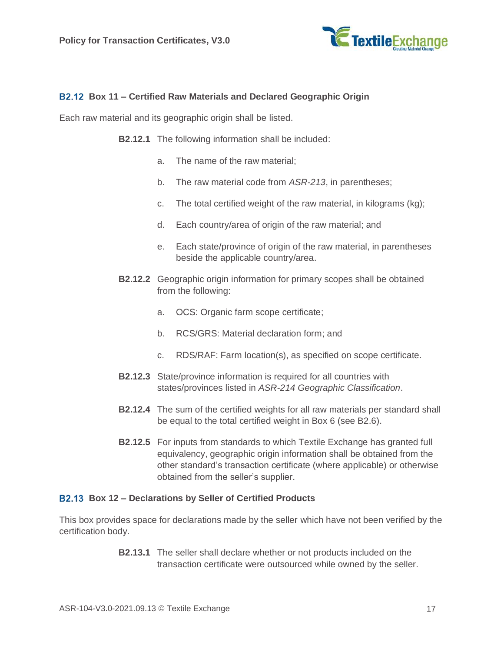

#### <span id="page-16-1"></span>**Box 11 – Certified Raw Materials and Declared Geographic Origin**

Each raw material and its geographic origin shall be listed.

- **B2.12.1** The following information shall be included:
	- a. The name of the raw material;
	- b. The raw material code from *ASR-213*, in parentheses;
	- c. The total certified weight of the raw material, in kilograms (kg);
	- d. Each country/area of origin of the raw material; and
	- e. Each state/province of origin of the raw material, in parentheses beside the applicable country/area.
- **B2.12.2** Geographic origin information for primary scopes shall be obtained from the following:
	- a. OCS: Organic farm scope certificate;
	- b. RCS/GRS: Material declaration form; and
	- c. RDS/RAF: Farm location(s), as specified on scope certificate.
- **B2.12.3** State/province information is required for all countries with states/provinces listed in *ASR-214 Geographic Classification*.
- **B2.12.4** The sum of the certified weights for all raw materials per standard shall be equal to the total certified weight in Box 6 (see [B2.6\)](#page-8-2).
- **B2.12.5** For inputs from standards to which Textile Exchange has granted full equivalency, geographic origin information shall be obtained from the other standard's transaction certificate (where applicable) or otherwise obtained from the seller's supplier.

#### **Box 12 – Declarations by Seller of Certified Products**

<span id="page-16-0"></span>This box provides space for declarations made by the seller which have not been verified by the certification body.

> **B2.13.1** The seller shall declare whether or not products included on the transaction certificate were outsourced while owned by the seller.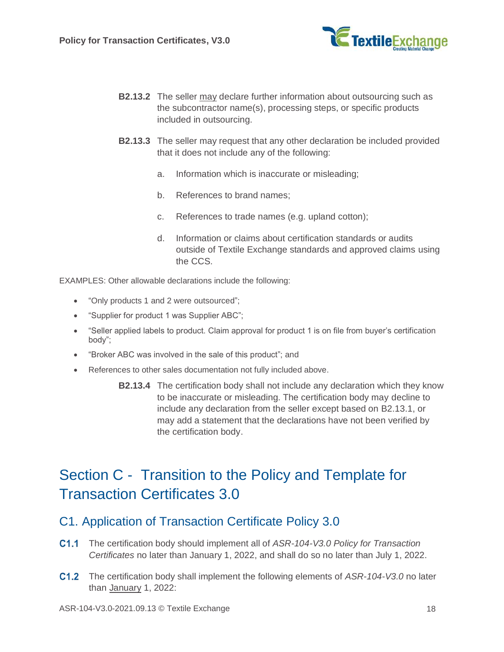

- **B2.13.2** The seller may declare further information about outsourcing such as the subcontractor name(s), processing steps, or specific products included in outsourcing.
- **B2.13.3** The seller may request that any other declaration be included provided that it does not include any of the following:
	- a. Information which is inaccurate or misleading;
	- b. References to brand names;
	- c. References to trade names (e.g. upland cotton);
	- d. Information or claims about certification standards or audits outside of Textile Exchange standards and approved claims using the CCS.

EXAMPLES: Other allowable declarations include the following:

- "Only products 1 and 2 were outsourced";
- "Supplier for product 1 was Supplier ABC";
- "Seller applied labels to product. Claim approval for product 1 is on file from buyer's certification body";
- "Broker ABC was involved in the sale of this product"; and
- References to other sales documentation not fully included above.
	- **B2.13.4** The certification body shall not include any declaration which they know to be inaccurate or misleading. The certification body may decline to include any declaration from the seller except based on [B2.13.1,](#page-16-0) or may add a statement that the declarations have not been verified by the certification body.

## Section C - Transition to the Policy and Template for Transaction Certificates 3.0

### <span id="page-17-0"></span>C1. Application of Transaction Certificate Policy 3.0

- The certification body should implement all of *ASR-104-V3.0 Policy for Transaction Certificates* no later than January 1, 2022, and shall do so no later than July 1, 2022.
- The certification body shall implement the following elements of *ASR-104-V3.0* no later than January 1, 2022: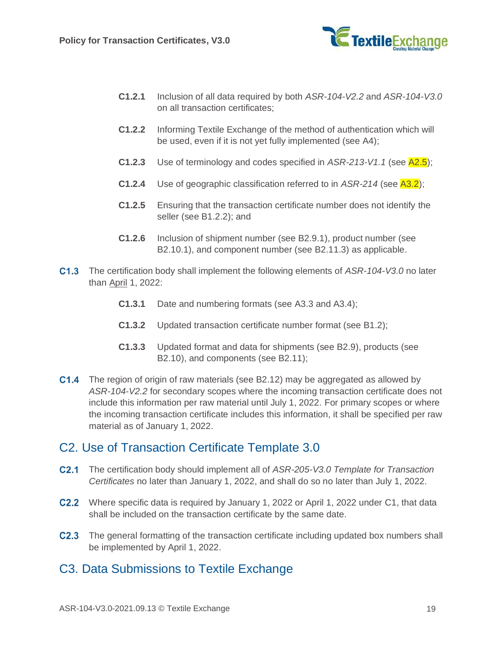

- **C1.2.1** Inclusion of all data required by both *ASR-104-V2.2* and *ASR-104-V3.0* on all transaction certificates;
- **C1.2.2** Informing Textile Exchange of the method of authentication which will be used, even if it is not yet fully implemented (see [A4\)](#page-2-1);
- **C1.2.3** Use of terminology and codes specified in *ASR-213-V1.1* (see [A2.5\)](#page-1-0);
- **C1.2.4** Use of geographic classification referred to in *ASR-214* (see [A3.2\)](#page-1-1);
- **C1.2.5** Ensuring that the transaction certificate number does not identify the seller (see [B1.2.2\)](#page-6-0); and
- **C1.2.6** Inclusion of shipment number (see [B2.9.1\)](#page-10-1), product number (see [B2.10.1\)](#page-11-1), and component number (see [B2.11.3\)](#page-14-1) as applicable.
- The certification body shall implement the following elements of *ASR-104-V3.0* no later than April 1, 2022:
	- **C1.3.1** Date and numbering formats (see [A3.3](#page-1-2) and [A3.4\)](#page-2-2);
	- **C1.3.2** Updated transaction certificate number format (see [B1.2\)](#page-5-0);
	- **C1.3.3** Updated format and data for shipments (see [B2.9\)](#page-10-2), products (see [B2.10\)](#page-11-2), and components (see [B2.11\)](#page-14-2);
- C1.4 The region of origin of raw materials (see [B2.12\)](#page-16-1) may be aggregated as allowed by *ASR-104-V2.2* for secondary scopes where the incoming transaction certificate does not include this information per raw material until July 1, 2022. For primary scopes or where the incoming transaction certificate includes this information, it shall be specified per raw material as of January 1, 2022.

## C2. Use of Transaction Certificate Template 3.0

- The certification body should implement all of *ASR-205-V3.0 Template for Transaction Certificates* no later than January 1, 2022, and shall do so no later than July 1, 2022.
- C2.2 Where specific data is required by January 1, 2022 or April 1, 2022 under [C1,](#page-17-0) that data shall be included on the transaction certificate by the same date.
- C2.3 The general formatting of the transaction certificate including updated box numbers shall be implemented by April 1, 2022.

### C3. Data Submissions to Textile Exchange